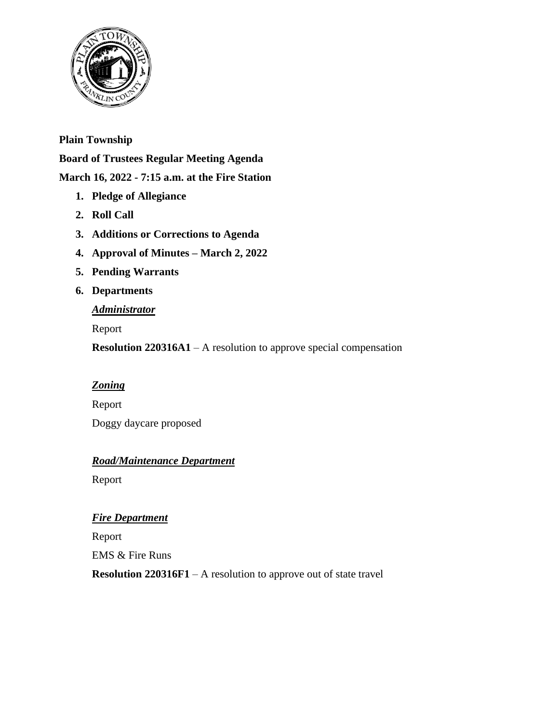

## **Plain Township**

**Board of Trustees Regular Meeting Agenda**

## **March 16, 2022 - 7:15 a.m. at the Fire Station**

- **1. Pledge of Allegiance**
- **2. Roll Call**
- **3. Additions or Corrections to Agenda**
- **4. Approval of Minutes – March 2, 2022**
- **5. Pending Warrants**
- **6. Departments**

### *Administrator*

Report

**Resolution 220316A1** – A resolution to approve special compensation

# *Zoning*

Report Doggy daycare proposed

# *Road/Maintenance Department*

Report

# *Fire Department*

Report EMS & Fire Runs

**Resolution 220316F1** – A resolution to approve out of state travel